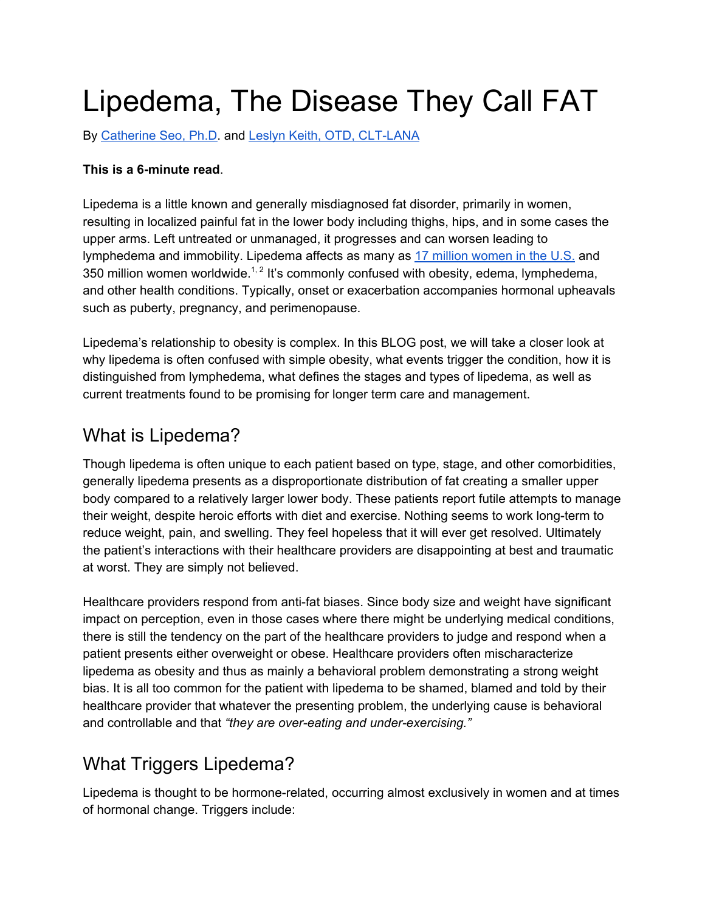# Lipedema, The Disease They Call FAT

By [Catherine](https://lipedema-simplified.org/catherines-story/) Seo, Ph.D. and Leslyn Keith, OTD, [CLT-LANA](https://www.clt-lana.org/therapist-481/leslyn-keith.html)

#### **This is a 6-minute read**.

Lipedema is a little known and generally misdiagnosed fat disorder, primarily in women, resulting in localized painful fat in the lower body including thighs, hips, and in some cases the upper arms. Left untreated or unmanaged, it progresses and can worsen leading to lymphedema and immobility. Lipedema affects as many as 17 million [women](https://lipedemaproject.org/about-lipedema/) in the U.S. and 350 million women worldwide.<sup>1, 2</sup> It's commonly confused with obesity, edema, lymphedema, and other health conditions. Typically, onset or exacerbation accompanies hormonal upheavals such as puberty, pregnancy, and perimenopause.

Lipedema's relationship to obesity is complex. In this BLOG post, we will take a closer look at why lipedema is often confused with simple obesity, what events trigger the condition, how it is distinguished from lymphedema, what defines the stages and types of lipedema, as well as current treatments found to be promising for longer term care and management.

## What is Lipedema?

Though lipedema is often unique to each patient based on type, stage, and other comorbidities, generally lipedema presents as a disproportionate distribution of fat creating a smaller upper body compared to a relatively larger lower body. These patients report futile attempts to manage their weight, despite heroic efforts with diet and exercise. Nothing seems to work long-term to reduce weight, pain, and swelling. They feel hopeless that it will ever get resolved. Ultimately the patient's interactions with their healthcare providers are disappointing at best and traumatic at worst. They are simply not believed.

Healthcare providers respond from anti-fat biases. Since body size and weight have significant impact on perception, even in those cases where there might be underlying medical conditions, there is still the tendency on the part of the healthcare providers to judge and respond when a patient presents either overweight or obese. Healthcare providers often mischaracterize lipedema as obesity and thus as mainly a behavioral problem demonstrating a strong weight bias. It is all too common for the patient with lipedema to be shamed, blamed and told by their healthcare provider that whatever the presenting problem, the underlying cause is behavioral and controllable and that *"they are over-eating and under-exercising."*

## What Triggers Lipedema?

Lipedema is thought to be hormone-related, occurring almost exclusively in women and at times of hormonal change. Triggers include: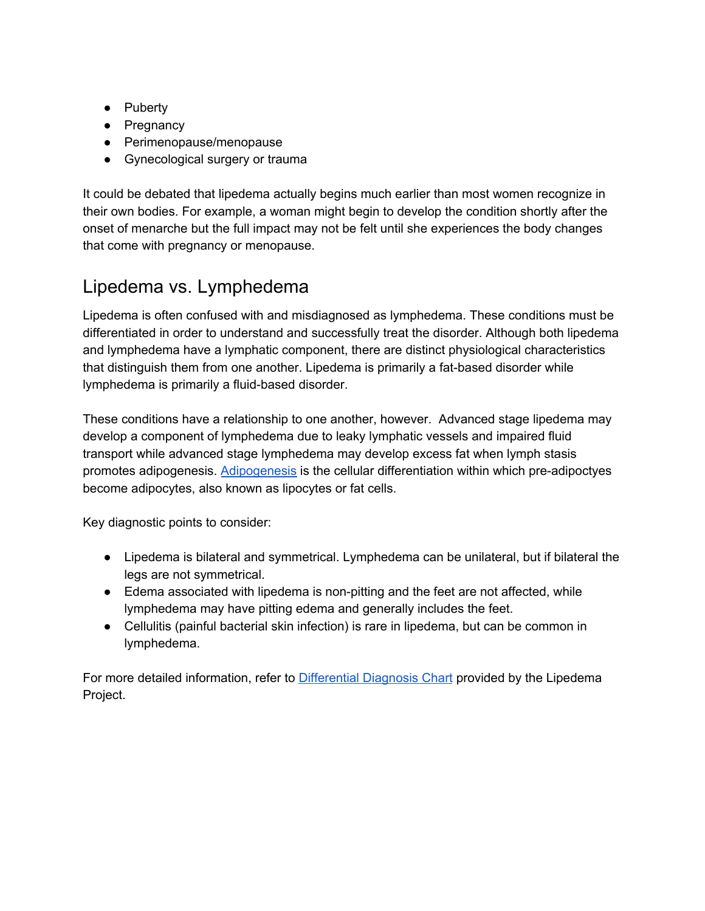- Puberty
- Pregnancy
- Perimenopause/menopause
- Gynecological surgery or trauma

It could be debated that lipedema actually begins much earlier than most women recognize in their own bodies. For example, a woman might begin to develop the condition shortly after the onset of menarche but the full impact may not be felt until she experiences the body changes that come with pregnancy or menopause.

# Lipedema vs. Lymphedema

Lipedema is often confused with and misdiagnosed as lymphedema. These conditions must be differentiated in order to understand and successfully treat the disorder. Although both lipedema and lymphedema have a lymphatic component, there are distinct physiological characteristics that distinguish them from one another. Lipedema is primarily a fat-based disorder while lymphedema is primarily a fluid-based disorder.

These conditions have a relationship to one another, however. Advanced stage lipedema may develop a component of lymphedema due to leaky lymphatic vessels and impaired fluid transport while advanced stage lymphedema may develop excess fat when lymph stasis promotes adipogenesis. [Adipogenesis](https://jcs.biologists.org/content/124/16/2681) is the cellular differentiation within which pre-adipoctyes become adipocytes, also known as lipocytes or fat cells.

Key diagnostic points to consider:

- Lipedema is bilateral and symmetrical. Lymphedema can be unilateral, but if bilateral the legs are not symmetrical.
- Edema associated with lipedema is non-pitting and the feet are not affected, while lymphedema may have pitting edema and generally includes the feet.
- Cellulitis (painful bacterial skin infection) is rare in lipedema, but can be common in lymphedema.

For more detailed information, refer to [Differential](https://lipedemaproject.org/lipedema-differential-diagnosis/?fbclid=IwAR2NH5XBI56BgmjQrx6onD3eWPfPc7QM7nqf1uc366eVmnSvbQ--OqWcm0A) Diagnosis Chart provided by the Lipedema Project.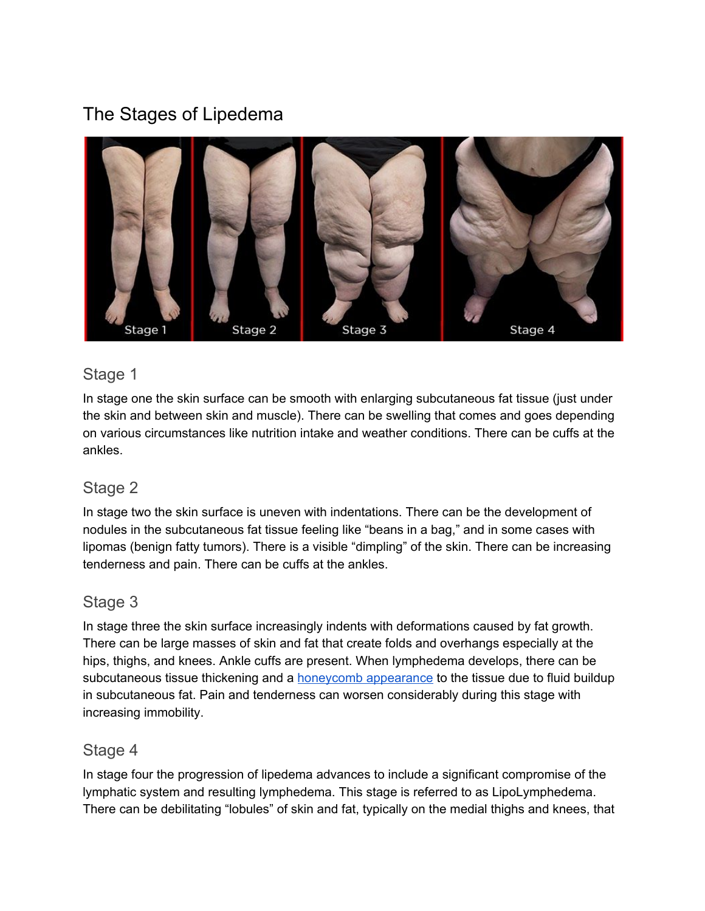# The Stages of Lipedema



## Stage 1

In stage one the skin surface can be smooth with enlarging subcutaneous fat tissue (just under the skin and between skin and muscle). There can be swelling that comes and goes depending on various circumstances like nutrition intake and weather conditions. There can be cuffs at the ankles.

## Stage 2

In stage two the skin surface is uneven with indentations. There can be the development of nodules in the subcutaneous fat tissue feeling like "beans in a bag," and in some cases with lipomas (benign fatty tumors). There is a visible "dimpling" of the skin. There can be increasing tenderness and pain. There can be cuffs at the ankles.

#### Stage 3

In stage three the skin surface increasingly indents with deformations caused by fat growth. There can be large masses of skin and fat that create folds and overhangs especially at the hips, thighs, and knees. Ankle cuffs are present. When lymphedema develops, there can be subcutaneous tissue thickening and a honeycomb [appearance](https://www.ncbi.nlm.nih.gov/pmc/articles/PMC4986968/) to the tissue due to fluid buildup in subcutaneous fat. Pain and tenderness can worsen considerably during this stage with increasing immobility.

#### Stage 4

In stage four the progression of lipedema advances to include a significant compromise of the lymphatic system and resulting lymphedema. This stage is referred to as LipoLymphedema. There can be debilitating "lobules" of skin and fat, typically on the medial thighs and knees, that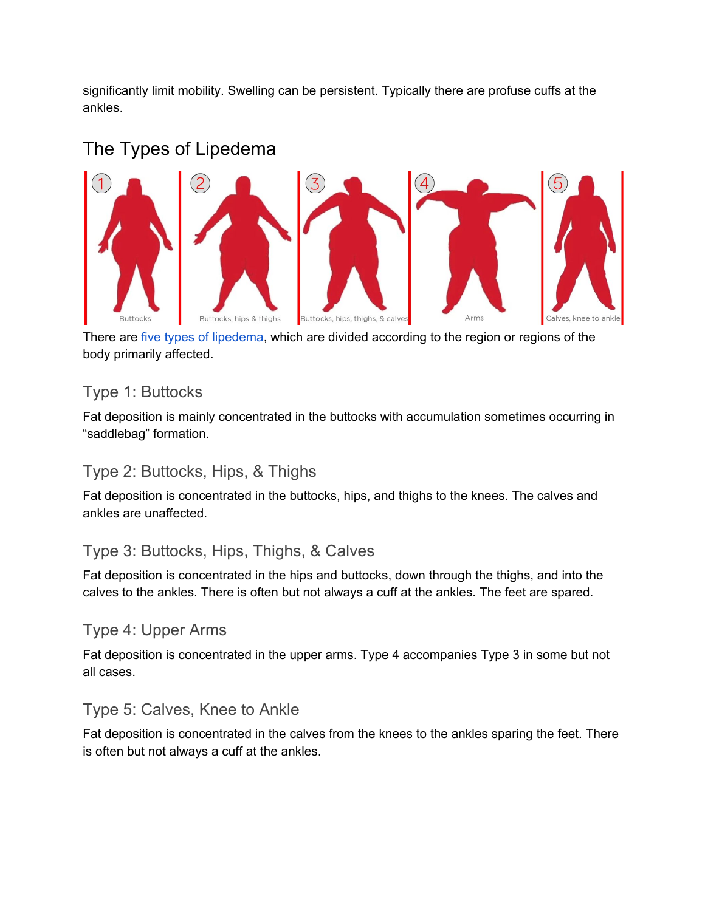significantly limit mobility. Swelling can be persistent. Typically there are profuse cuffs at the ankles.

# The Types of Lipedema



There are *five types of [lipedema](https://lipedemaproject.org/about-lipedema/)*, which are divided according to the region or regions of the body primarily affected.

## Type 1: Buttocks

Fat deposition is mainly concentrated in the buttocks with accumulation sometimes occurring in "saddlebag" formation.

#### Type 2: Buttocks, Hips, & Thighs

Fat deposition is concentrated in the buttocks, hips, and thighs to the knees. The calves and ankles are unaffected.

## Type 3: Buttocks, Hips, Thighs, & Calves

Fat deposition is concentrated in the hips and buttocks, down through the thighs, and into the calves to the ankles. There is often but not always a cuff at the ankles. The feet are spared.

## Type 4: Upper Arms

Fat deposition is concentrated in the upper arms. Type 4 accompanies Type 3 in some but not all cases.

## Type 5: Calves, Knee to Ankle

Fat deposition is concentrated in the calves from the knees to the ankles sparing the feet. There is often but not always a cuff at the ankles.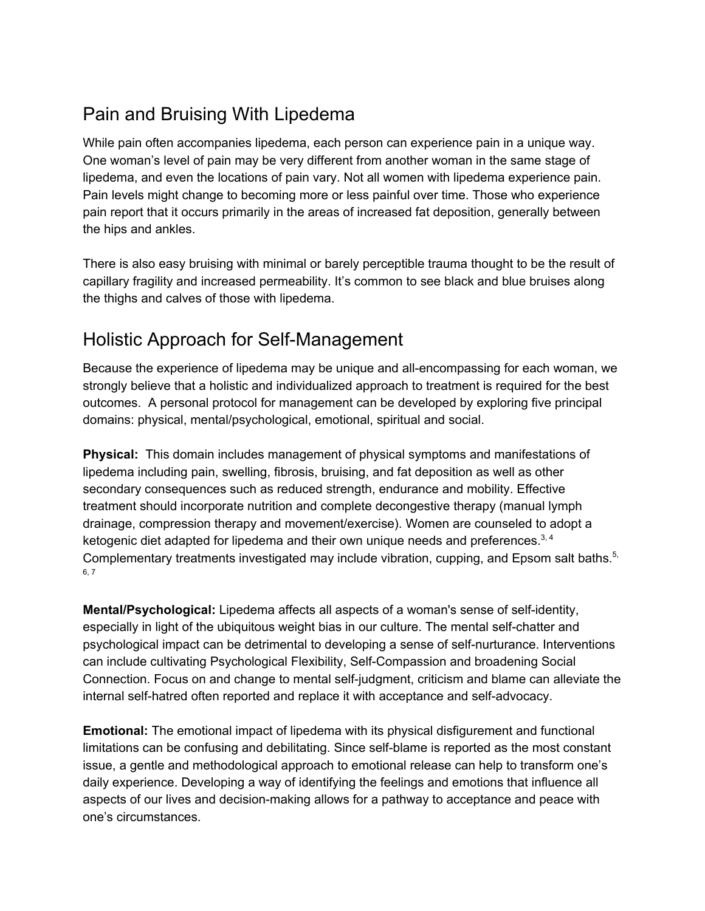# Pain and Bruising With Lipedema

While pain often accompanies lipedema, each person can experience pain in a unique way. One woman's level of pain may be very different from another woman in the same stage of lipedema, and even the locations of pain vary. Not all women with lipedema experience pain. Pain levels might change to becoming more or less painful over time. Those who experience pain report that it occurs primarily in the areas of increased fat deposition, generally between the hips and ankles.

There is also easy bruising with minimal or barely perceptible trauma thought to be the result of capillary fragility and increased permeability. It's common to see black and blue bruises along the thighs and calves of those with lipedema.

## Holistic Approach for Self-Management

Because the experience of lipedema may be unique and all-encompassing for each woman, we strongly believe that a holistic and individualized approach to treatment is required for the best outcomes. A personal protocol for management can be developed by exploring five principal domains: physical, mental/psychological, emotional, spiritual and social.

**Physical:** This domain includes management of physical symptoms and manifestations of lipedema including pain, swelling, fibrosis, bruising, and fat deposition as well as other secondary consequences such as reduced strength, endurance and mobility. Effective treatment should incorporate nutrition and complete decongestive therapy (manual lymph drainage, compression therapy and movement/exercise). Women are counseled to adopt a ketogenic diet adapted for lipedema and their own unique needs and preferences. $^{3,4}$ Complementary treatments investigated may include vibration, cupping, and Epsom salt baths.<sup>5,</sup> 6, 7

**Mental/Psychological:** Lipedema affects all aspects of a woman's sense of self-identity, especially in light of the ubiquitous weight bias in our culture. The mental self-chatter and psychological impact can be detrimental to developing a sense of self-nurturance. Interventions can include cultivating Psychological Flexibility, Self-Compassion and broadening Social Connection. Focus on and change to mental self-judgment, criticism and blame can alleviate the internal self-hatred often reported and replace it with acceptance and self-advocacy.

**Emotional:** The emotional impact of lipedema with its physical disfigurement and functional limitations can be confusing and debilitating. Since self-blame is reported as the most constant issue, a gentle and methodological approach to emotional release can help to transform one's daily experience. Developing a way of identifying the feelings and emotions that influence all aspects of our lives and decision-making allows for a pathway to acceptance and peace with one's circumstances.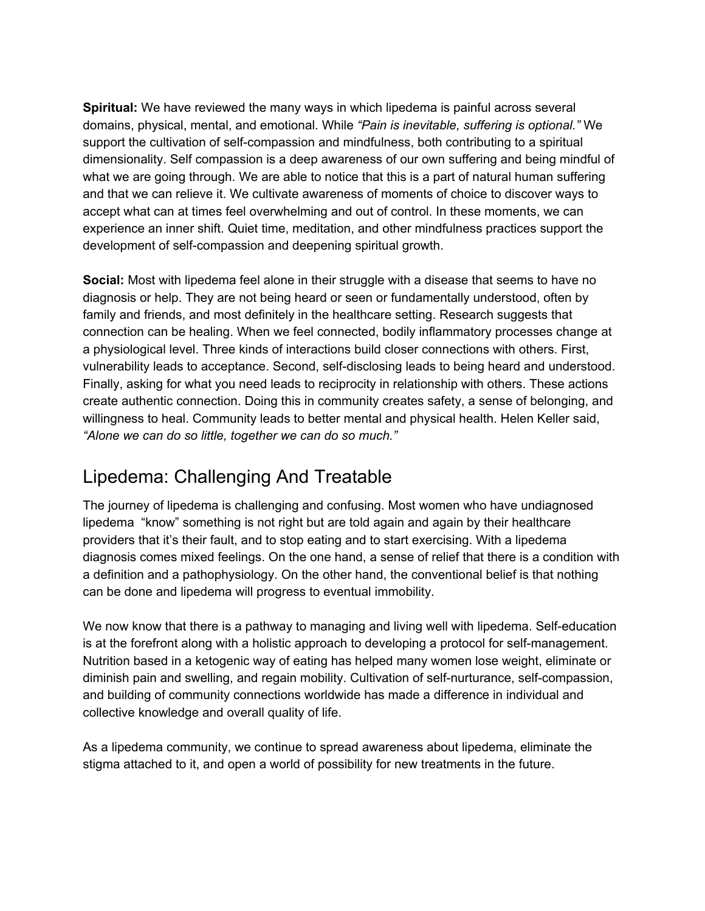**Spiritual:** We have reviewed the many ways in which lipedema is painful across several domains, physical, mental, and emotional. While *"Pain is inevitable, suffering is optional."* We support the cultivation of self-compassion and mindfulness, both contributing to a spiritual dimensionality. Self compassion is a deep awareness of our own suffering and being mindful of what we are going through. We are able to notice that this is a part of natural human suffering and that we can relieve it. We cultivate awareness of moments of choice to discover ways to accept what can at times feel overwhelming and out of control. In these moments, we can experience an inner shift. Quiet time, meditation, and other mindfulness practices support the development of self-compassion and deepening spiritual growth.

**Social:** Most with lipedema feel alone in their struggle with a disease that seems to have no diagnosis or help. They are not being heard or seen or fundamentally understood, often by family and friends, and most definitely in the healthcare setting. Research suggests that connection can be healing. When we feel connected, bodily inflammatory processes change at a physiological level. Three kinds of interactions build closer connections with others. First, vulnerability leads to acceptance. Second, self-disclosing leads to being heard and understood. Finally, asking for what you need leads to reciprocity in relationship with others. These actions create authentic connection. Doing this in community creates safety, a sense of belonging, and willingness to heal. Community leads to better mental and physical health. Helen Keller said, *"Alone we can do so little, together we can do so much."*

## Lipedema: Challenging And Treatable

The journey of lipedema is challenging and confusing. Most women who have undiagnosed lipedema "know" something is not right but are told again and again by their healthcare providers that it's their fault, and to stop eating and to start exercising. With a lipedema diagnosis comes mixed feelings. On the one hand, a sense of relief that there is a condition with a definition and a pathophysiology. On the other hand, the conventional belief is that nothing can be done and lipedema will progress to eventual immobility.

We now know that there is a pathway to managing and living well with lipedema. Self-education is at the forefront along with a holistic approach to developing a protocol for self-management. Nutrition based in a ketogenic way of eating has helped many women lose weight, eliminate or diminish pain and swelling, and regain mobility. Cultivation of self-nurturance, self-compassion, and building of community connections worldwide has made a difference in individual and collective knowledge and overall quality of life.

As a lipedema community, we continue to spread awareness about lipedema, eliminate the stigma attached to it, and open a world of possibility for new treatments in the future.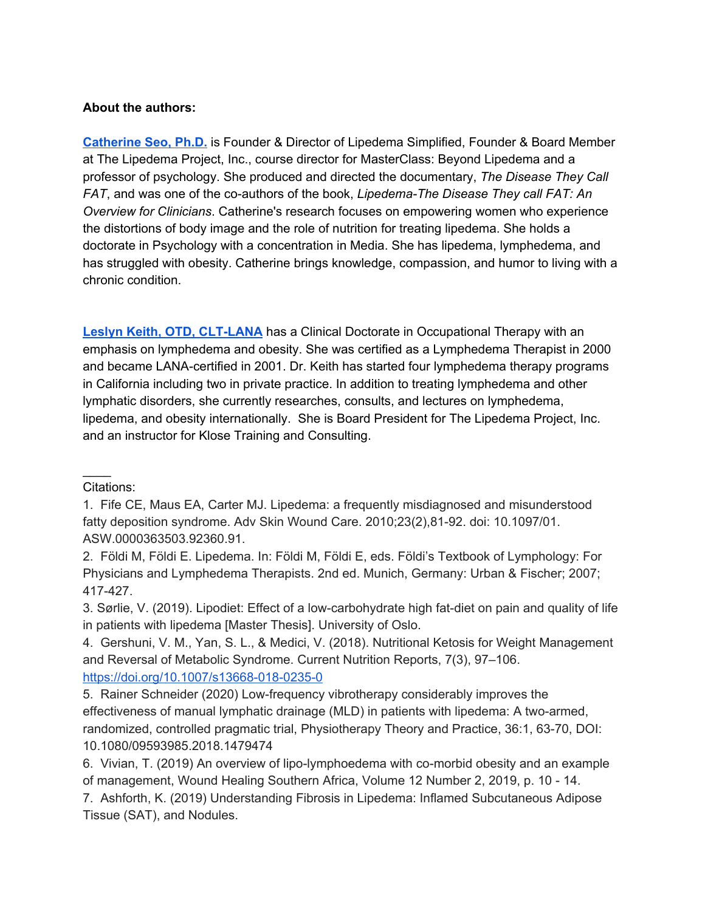#### **About the authors:**

**[Catherine](https://lipedema-simplified.org/catherines-story/) Seo, Ph.D.** is Founder & Director of Lipedema Simplified, Founder & Board Member at The Lipedema Project, Inc., course director for MasterClass: Beyond Lipedema and a professor of psychology. She produced and directed the documentary, *The Disease They Call FAT*, and was one of the co-authors of the book, *Lipedema-The Disease They call FAT: An Overview for Clinicians*. Catherine's research focuses on empowering women who experience the distortions of body image and the role of nutrition for treating lipedema. She holds a doctorate in Psychology with a concentration in Media. She has lipedema, lymphedema, and has struggled with obesity. Catherine brings knowledge, compassion, and humor to living with a chronic condition.

**Leslyn Keith, OTD, [CLT-LANA](https://www.clt-lana.org/therapist-481/leslyn-keith.html)** has a Clinical Doctorate in Occupational Therapy with an emphasis on lymphedema and obesity. She was certified as a Lymphedema Therapist in 2000 and became LANA-certified in 2001. Dr. Keith has started four lymphedema therapy programs in California including two in private practice. In addition to treating lymphedema and other lymphatic disorders, she currently researches, consults, and lectures on lymphedema, lipedema, and obesity internationally. She is Board President for The Lipedema Project, Inc. and an instructor for Klose Training and Consulting.

Citations:

 $\mathcal{L}$ 

1. Fife CE, Maus EA, Carter MJ. Lipedema: a frequently misdiagnosed and misunderstood fatty deposition syndrome. Adv Skin Wound Care. 2010;23(2),81-92. doi: 10.1097/01. ASW.0000363503.92360.91.

2. Földi M, Földi E. Lipedema. In: Földi M, Földi E, eds. Földi's Textbook of Lymphology: For Physicians and Lymphedema Therapists. 2nd ed. Munich, Germany: Urban & Fischer; 2007; 417-427.

3. Sørlie, V. (2019). Lipodiet: Effect of a low-carbohydrate high fat-diet on pain and quality of life in patients with lipedema [Master Thesis]. University of Oslo.

4. Gershuni, V. M., Yan, S. L., & Medici, V. (2018). Nutritional Ketosis for Weight Management and Reversal of Metabolic Syndrome. Current Nutrition Reports, 7(3), 97–106. <https://doi.org/10.1007/s13668-018-0235-0>

5. Rainer Schneider (2020) Low-frequency vibrotherapy considerably improves the effectiveness of manual lymphatic drainage (MLD) in patients with lipedema: A two-armed, randomized, controlled pragmatic trial, Physiotherapy Theory and Practice, 36:1, 63-70, DOI: 10.1080/09593985.2018.1479474

6. Vivian, T. (2019) An overview of lipo-lymphoedema with co-morbid obesity and an example of management, Wound Healing Southern Africa, Volume 12 Number 2, 2019, p. 10 - 14.

7. Ashforth, K. (2019) Understanding Fibrosis in Lipedema: Inflamed Subcutaneous Adipose Tissue (SAT), and Nodules.